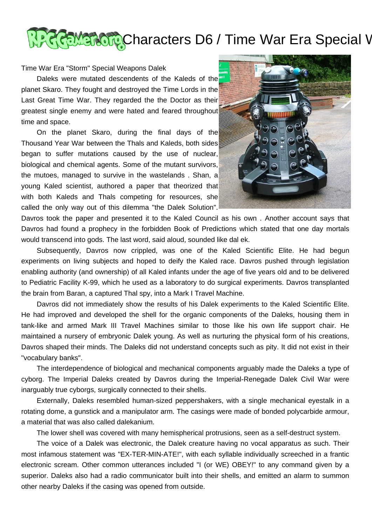

## Time War Era "Storm" Special Weapons Dalek

Daleks were mutated descendents of the Kaleds of the planet Skaro. They fought and destroyed the Time Lords in the Last Great Time War. They regarded the the Doctor as their greatest single enemy and were hated and feared throughout time and space.

 On the planet Skaro, during the final days of the Thousand Year War between the Thals and Kaleds, both sides began to suffer mutations caused by the use of nuclear, biological and chemical agents. Some of the mutant survivors, the mutoes, managed to survive in the wastelands . Shan, a young Kaled scientist, authored a paper that theorized that with both Kaleds and Thals competing for resources, she called the only way out of this dilemma "the Dalek Solution".



Davros took the paper and presented it to the Kaled Council as his own . Another account says that Davros had found a prophecy in the forbidden Book of Predictions which stated that one day mortals would transcend into gods. The last word, said aloud, sounded like dal ek.

 Subsequently, Davros now crippled, was one of the Kaled Scientific Elite. He had begun experiments on living subjects and hoped to deify the Kaled race. Davros pushed through legislation enabling authority (and ownership) of all Kaled infants under the age of five years old and to be delivered to Pediatric Facility K-99, which he used as a laboratory to do surgical experiments. Davros transplanted the brain from Baran, a captured Thal spy, into a Mark I Travel Machine.

 Davros did not immediately show the results of his Dalek experiments to the Kaled Scientific Elite. He had improved and developed the shell for the organic components of the Daleks, housing them in tank-like and armed Mark III Travel Machines similar to those like his own life support chair. He maintained a nursery of embryonic Dalek young. As well as nurturing the physical form of his creations, Davros shaped their minds. The Daleks did not understand concepts such as pity. It did not exist in their "vocabulary banks".

 The interdependence of biological and mechanical components arguably made the Daleks a type of cyborg. The Imperial Daleks created by Davros during the Imperial-Renegade Dalek Civil War were inarguably true cyborgs, surgically connected to their shells.

 Externally, Daleks resembled human-sized peppershakers, with a single mechanical eyestalk in a rotating dome, a gunstick and a manipulator arm. The casings were made of bonded polycarbide armour, a material that was also called dalekanium.

The lower shell was covered with many hemispherical protrusions, seen as a self-destruct system.

 The voice of a Dalek was electronic, the Dalek creature having no vocal apparatus as such. Their most infamous statement was "EX-TER-MIN-ATE!", with each syllable individually screeched in a frantic electronic scream. Other common utterances included "I (or WE) OBEY!" to any command given by a superior. Daleks also had a radio communicator built into their shells, and emitted an alarm to summon other nearby Daleks if the casing was opened from outside.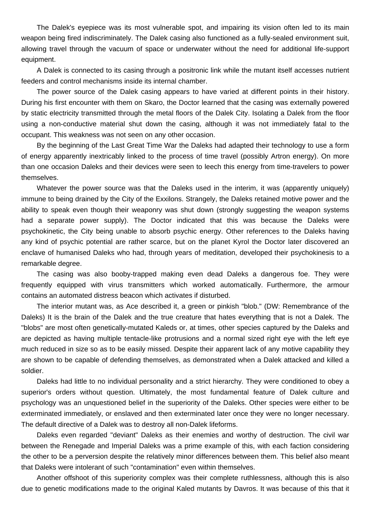The Dalek's eyepiece was its most vulnerable spot, and impairing its vision often led to its main weapon being fired indiscriminately. The Dalek casing also functioned as a fully-sealed environment suit, allowing travel through the vacuum of space or underwater without the need for additional life-support equipment.

 A Dalek is connected to its casing through a positronic link while the mutant itself accesses nutrient feeders and control mechanisms inside its internal chamber.

 The power source of the Dalek casing appears to have varied at different points in their history. During his first encounter with them on Skaro, the Doctor learned that the casing was externally powered by static electricity transmitted through the metal floors of the Dalek City. Isolating a Dalek from the floor using a non-conductive material shut down the casing, although it was not immediately fatal to the occupant. This weakness was not seen on any other occasion.

 By the beginning of the Last Great Time War the Daleks had adapted their technology to use a form of energy apparently inextricably linked to the process of time travel (possibly Artron energy). On more than one occasion Daleks and their devices were seen to leech this energy from time-travelers to power themselves.

Whatever the power source was that the Daleks used in the interim, it was (apparently uniquely) immune to being drained by the City of the Exxilons. Strangely, the Daleks retained motive power and the ability to speak even though their weaponry was shut down (strongly suggesting the weapon systems had a separate power supply). The Doctor indicated that this was because the Daleks were psychokinetic, the City being unable to absorb psychic energy. Other references to the Daleks having any kind of psychic potential are rather scarce, but on the planet Kyrol the Doctor later discovered an enclave of humanised Daleks who had, through years of meditation, developed their psychokinesis to a remarkable degree.

 The casing was also booby-trapped making even dead Daleks a dangerous foe. They were frequently equipped with virus transmitters which worked automatically. Furthermore, the armour contains an automated distress beacon which activates if disturbed.

 The interior mutant was, as Ace described it, a green or pinkish "blob." (DW: Remembrance of the Daleks) It is the brain of the Dalek and the true creature that hates everything that is not a Dalek. The "blobs" are most often genetically-mutated Kaleds or, at times, other species captured by the Daleks and are depicted as having multiple tentacle-like protrusions and a normal sized right eye with the left eye much reduced in size so as to be easily missed. Despite their apparent lack of any motive capability they are shown to be capable of defending themselves, as demonstrated when a Dalek attacked and killed a soldier.

 Daleks had little to no individual personality and a strict hierarchy. They were conditioned to obey a superior's orders without question. Ultimately, the most fundamental feature of Dalek culture and psychology was an unquestioned belief in the superiority of the Daleks. Other species were either to be exterminated immediately, or enslaved and then exterminated later once they were no longer necessary. The default directive of a Dalek was to destroy all non-Dalek lifeforms.

 Daleks even regarded "deviant" Daleks as their enemies and worthy of destruction. The civil war between the Renegade and Imperial Daleks was a prime example of this, with each faction considering the other to be a perversion despite the relatively minor differences between them. This belief also meant that Daleks were intolerant of such "contamination" even within themselves.

 Another offshoot of this superiority complex was their complete ruthlessness, although this is also due to genetic modifications made to the original Kaled mutants by Davros. It was because of this that it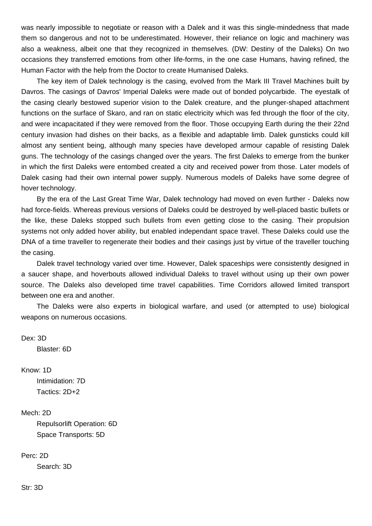was nearly impossible to negotiate or reason with a Dalek and it was this single-mindedness that made them so dangerous and not to be underestimated. However, their reliance on logic and machinery was also a weakness, albeit one that they recognized in themselves. (DW: Destiny of the Daleks) On two occasions they transferred emotions from other life-forms, in the one case Humans, having refined, the Human Factor with the help from the Doctor to create Humanised Daleks.

 The key item of Dalek technology is the casing, evolved from the Mark III Travel Machines built by Davros. The casings of Davros' Imperial Daleks were made out of bonded polycarbide. The eyestalk of the casing clearly bestowed superior vision to the Dalek creature, and the plunger-shaped attachment functions on the surface of Skaro, and ran on static electricity which was fed through the floor of the city, and were incapacitated if they were removed from the floor. Those occupying Earth during the their 22nd century invasion had dishes on their backs, as a flexible and adaptable limb. Dalek gunsticks could kill almost any sentient being, although many species have developed armour capable of resisting Dalek guns. The technology of the casings changed over the years. The first Daleks to emerge from the bunker in which the first Daleks were entombed created a city and received power from those. Later models of Dalek casing had their own internal power supply. Numerous models of Daleks have some degree of hover technology.

 By the era of the Last Great Time War, Dalek technology had moved on even further - Daleks now had force-fields. Whereas previous versions of Daleks could be destroyed by well-placed bastic bullets or the like, these Daleks stopped such bullets from even getting close to the casing. Their propulsion systems not only added hover ability, but enabled independant space travel. These Daleks could use the DNA of a time traveller to regenerate their bodies and their casings just by virtue of the traveller touching the casing.

 Dalek travel technology varied over time. However, Dalek spaceships were consistently designed in a saucer shape, and hoverbouts allowed individual Daleks to travel without using up their own power source. The Daleks also developed time travel capabilities. Time Corridors allowed limited transport between one era and another.

 The Daleks were also experts in biological warfare, and used (or attempted to use) biological weapons on numerous occasions.

Dex: 3D

Blaster: 6D

Know: 1D

 Intimidation: 7D Tactics: 2D+2

## Mech: 2D

 Repulsorlift Operation: 6D Space Transports: 5D

## Perc: 2D

Search: 3D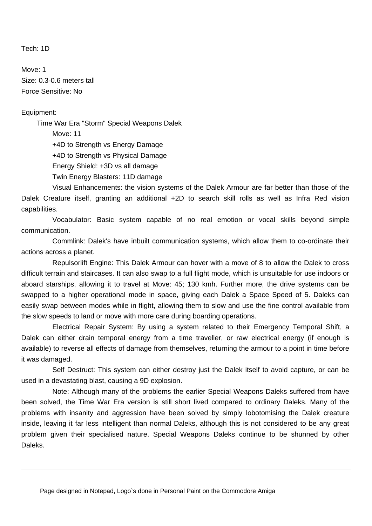Tech: 1D

Move: 1 Size: 0.3-0.6 meters tall Force Sensitive: No

## Equipment:

 Time War Era "Storm" Special Weapons Dalek Move: 11 +4D to Strength vs Energy Damage

+4D to Strength vs Physical Damage

Energy Shield: +3D vs all damage

Twin Energy Blasters: 11D damage

 Visual Enhancements: the vision systems of the Dalek Armour are far better than those of the Dalek Creature itself, granting an additional +2D to search skill rolls as well as Infra Red vision capabilities.

 Vocabulator: Basic system capable of no real emotion or vocal skills beyond simple communication.

 Commlink: Dalek's have inbuilt communication systems, which allow them to co-ordinate their actions across a planet.

 Repulsorlift Engine: This Dalek Armour can hover with a move of 8 to allow the Dalek to cross difficult terrain and staircases. It can also swap to a full flight mode, which is unsuitable for use indoors or aboard starships, allowing it to travel at Move: 45; 130 kmh. Further more, the drive systems can be swapped to a higher operational mode in space, giving each Dalek a Space Speed of 5. Daleks can easily swap between modes while in flight, allowing them to slow and use the fine control available from the slow speeds to land or move with more care during boarding operations.

 Electrical Repair System: By using a system related to their Emergency Temporal Shift, a Dalek can either drain temporal energy from a time traveller, or raw electrical energy (if enough is available) to reverse all effects of damage from themselves, returning the armour to a point in time before it was damaged.

 Self Destruct: This system can either destroy just the Dalek itself to avoid capture, or can be used in a devastating blast, causing a 9D explosion.

 Note: Although many of the problems the earlier Special Weapons Daleks suffered from have been solved, the Time War Era version is still short lived compared to ordinary Daleks. Many of the problems with insanity and aggression have been solved by simply lobotomising the Dalek creature inside, leaving it far less intelligent than normal Daleks, although this is not considered to be any great problem given their specialised nature. Special Weapons Daleks continue to be shunned by other Daleks.